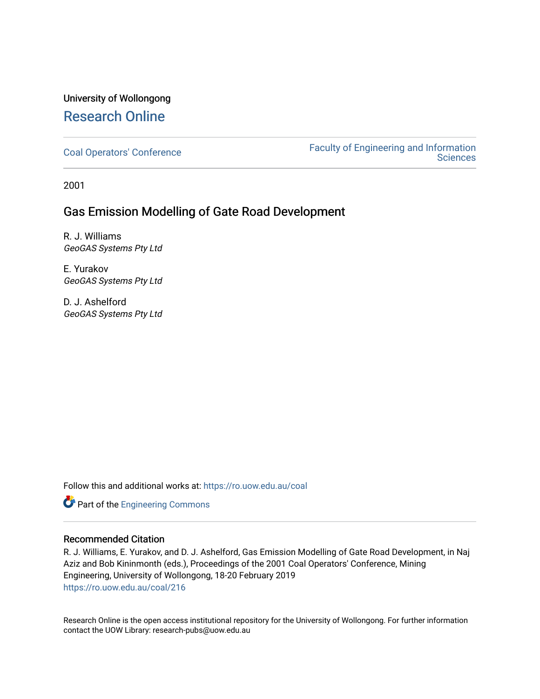# University of Wollongong [Research Online](https://ro.uow.edu.au/)

[Coal Operators' Conference](https://ro.uow.edu.au/coal) [Faculty of Engineering and Information](https://ro.uow.edu.au/eis)  **Sciences** 

2001

# Gas Emission Modelling of Gate Road Development

R. J. Williams GeoGAS Systems Pty Ltd

E. Yurakov GeoGAS Systems Pty Ltd

D. J. Ashelford GeoGAS Systems Pty Ltd

Follow this and additional works at: [https://ro.uow.edu.au/coal](https://ro.uow.edu.au/coal?utm_source=ro.uow.edu.au%2Fcoal%2F216&utm_medium=PDF&utm_campaign=PDFCoverPages) 

Part of the [Engineering Commons](http://network.bepress.com/hgg/discipline/217?utm_source=ro.uow.edu.au%2Fcoal%2F216&utm_medium=PDF&utm_campaign=PDFCoverPages)

## Recommended Citation

R. J. Williams, E. Yurakov, and D. J. Ashelford, Gas Emission Modelling of Gate Road Development, in Naj Aziz and Bob Kininmonth (eds.), Proceedings of the 2001 Coal Operators' Conference, Mining Engineering, University of Wollongong, 18-20 February 2019 [https://ro.uow.edu.au/coal/216](https://ro.uow.edu.au/coal/216?utm_source=ro.uow.edu.au%2Fcoal%2F216&utm_medium=PDF&utm_campaign=PDFCoverPages) 

Research Online is the open access institutional repository for the University of Wollongong. For further information contact the UOW Library: research-pubs@uow.edu.au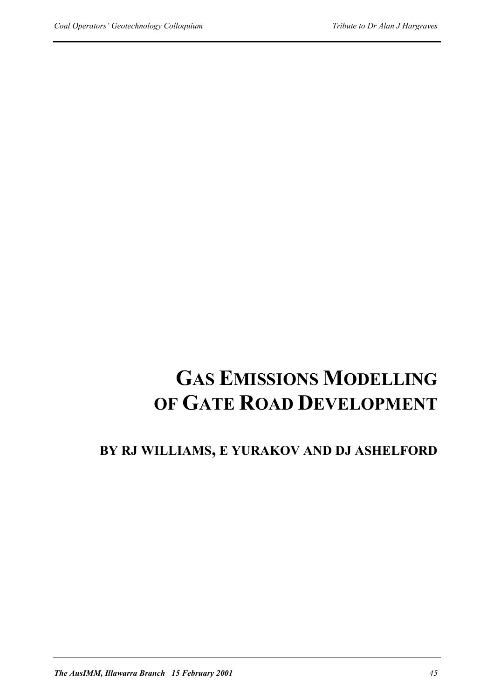# **GAS EMISSIONS MODELLING OF GATE ROAD DEVELOPMENT**

# **BY RJ WILLIAMS, E YURAKOV AND DJ ASHELFORD**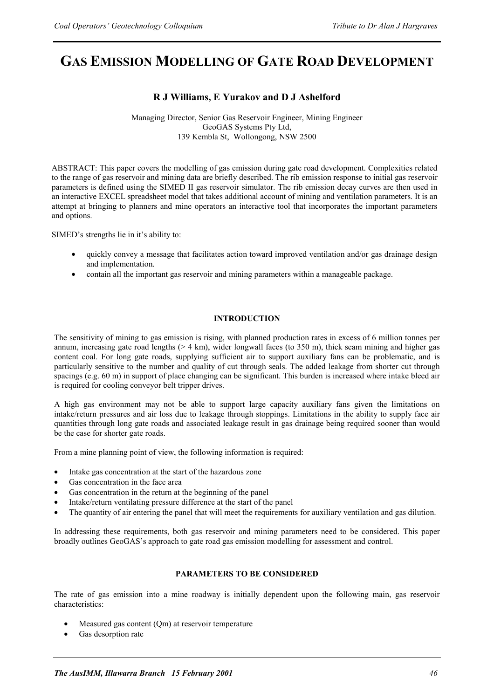# **GAS EMISSION MODELLING OF GATE ROAD DEVELOPMENT**

# **R J Williams, E Yurakov and D J Ashelford**

Managing Director, Senior Gas Reservoir Engineer, Mining Engineer GeoGAS Systems Pty Ltd, 139 Kembla St, Wollongong, NSW 2500

ABSTRACT: This paper covers the modelling of gas emission during gate road development. Complexities related to the range of gas reservoir and mining data are briefly described. The rib emission response to initial gas reservoir parameters is defined using the SIMED II gas reservoir simulator. The rib emission decay curves are then used in an interactive EXCEL spreadsheet model that takes additional account of mining and ventilation parameters. It is an attempt at bringing to planners and mine operators an interactive tool that incorporates the important parameters and options.

SIMED's strengths lie in it's ability to:

- quickly convey a message that facilitates action toward improved ventilation and/or gas drainage design and implementation.
- contain all the important gas reservoir and mining parameters within a manageable package.

## **INTRODUCTION**

The sensitivity of mining to gas emission is rising, with planned production rates in excess of 6 million tonnes per annum, increasing gate road lengths  $(> 4 \text{ km})$ , wider longwall faces (to 350 m), thick seam mining and higher gas content coal. For long gate roads, supplying sufficient air to support auxiliary fans can be problematic, and is particularly sensitive to the number and quality of cut through seals. The added leakage from shorter cut through spacings (e.g. 60 m) in support of place changing can be significant. This burden is increased where intake bleed air is required for cooling conveyor belt tripper drives.

A high gas environment may not be able to support large capacity auxiliary fans given the limitations on intake/return pressures and air loss due to leakage through stoppings. Limitations in the ability to supply face air quantities through long gate roads and associated leakage result in gas drainage being required sooner than would be the case for shorter gate roads.

From a mine planning point of view, the following information is required:

- Intake gas concentration at the start of the hazardous zone
- Gas concentration in the face area
- Gas concentration in the return at the beginning of the panel
- Intake/return ventilating pressure difference at the start of the panel
- The quantity of air entering the panel that will meet the requirements for auxiliary ventilation and gas dilution.

In addressing these requirements, both gas reservoir and mining parameters need to be considered. This paper broadly outlines GeoGAS's approach to gate road gas emission modelling for assessment and control.

## **PARAMETERS TO BE CONSIDERED**

The rate of gas emission into a mine roadway is initially dependent upon the following main, gas reservoir characteristics:

- Measured gas content (Qm) at reservoir temperature
- Gas desorption rate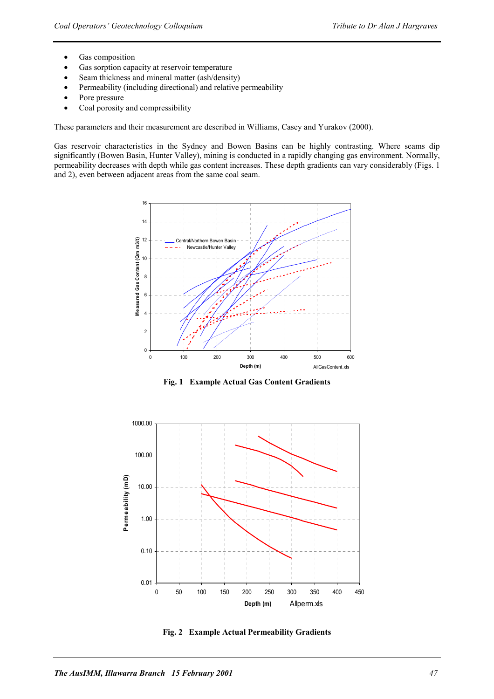- Gas composition
- Gas sorption capacity at reservoir temperature
- Seam thickness and mineral matter (ash/density)
- Permeability (including directional) and relative permeability
- Pore pressure
- Coal porosity and compressibility

These parameters and their measurement are described in Williams, Casey and Yurakov (2000).

Gas reservoir characteristics in the Sydney and Bowen Basins can be highly contrasting. Where seams dip significantly (Bowen Basin, Hunter Valley), mining is conducted in a rapidly changing gas environment. Normally, permeability decreases with depth while gas content increases. These depth gradients can vary considerably (Figs. 1 and 2), even between adjacent areas from the same coal seam.



**Fig. 1 Example Actual Gas Content Gradients** 



**Fig. 2 Example Actual Permeability Gradients**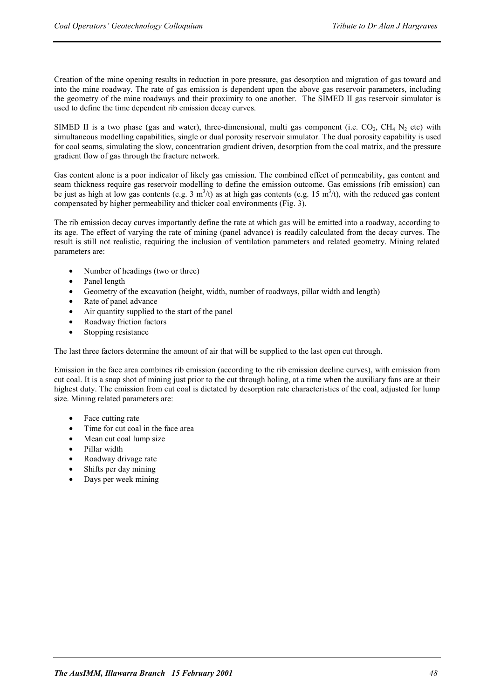Creation of the mine opening results in reduction in pore pressure, gas desorption and migration of gas toward and into the mine roadway. The rate of gas emission is dependent upon the above gas reservoir parameters, including the geometry of the mine roadways and their proximity to one another. The SIMED II gas reservoir simulator is used to define the time dependent rib emission decay curves.

SIMED II is a two phase (gas and water), three-dimensional, multi gas component (i.e.  $CO_2$ ,  $CH_4$  N<sub>2</sub> etc) with simultaneous modelling capabilities, single or dual porosity reservoir simulator. The dual porosity capability is used for coal seams, simulating the slow, concentration gradient driven, desorption from the coal matrix, and the pressure gradient flow of gas through the fracture network.

Gas content alone is a poor indicator of likely gas emission. The combined effect of permeability, gas content and seam thickness require gas reservoir modelling to define the emission outcome. Gas emissions (rib emission) can be just as high at low gas contents (e.g. 3  $m^3/t$ ) as at high gas contents (e.g. 15  $m^3/t$ ), with the reduced gas content compensated by higher permeability and thicker coal environments (Fig. 3).

The rib emission decay curves importantly define the rate at which gas will be emitted into a roadway, according to its age. The effect of varying the rate of mining (panel advance) is readily calculated from the decay curves. The result is still not realistic, requiring the inclusion of ventilation parameters and related geometry. Mining related parameters are:

- Number of headings (two or three)
- Panel length
- Geometry of the excavation (height, width, number of roadways, pillar width and length)
- Rate of panel advance
- Air quantity supplied to the start of the panel
- Roadway friction factors
- Stopping resistance

The last three factors determine the amount of air that will be supplied to the last open cut through.

Emission in the face area combines rib emission (according to the rib emission decline curves), with emission from cut coal. It is a snap shot of mining just prior to the cut through holing, at a time when the auxiliary fans are at their highest duty. The emission from cut coal is dictated by desorption rate characteristics of the coal, adjusted for lump size. Mining related parameters are:

- Face cutting rate
- Time for cut coal in the face area
- Mean cut coal lump size
- Pillar width
- Roadway drivage rate
- Shifts per day mining
- Days per week mining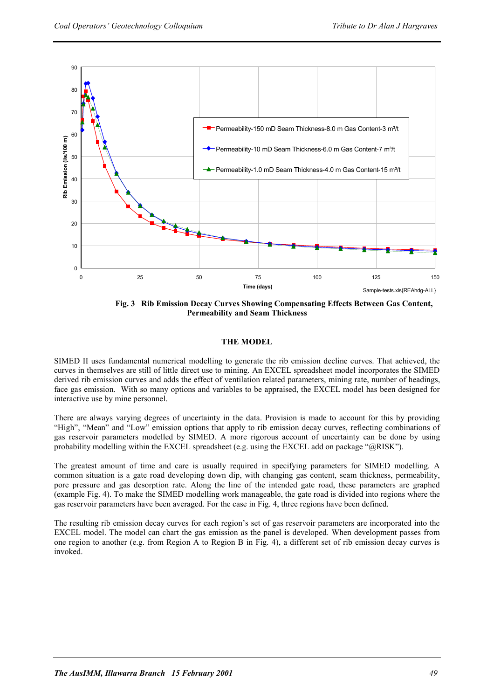

 **Fig. 3 Rib Emission Decay Curves Showing Compensating Effects Between Gas Content, Permeability and Seam Thickness** 

#### **THE MODEL**

SIMED II uses fundamental numerical modelling to generate the rib emission decline curves. That achieved, the curves in themselves are still of little direct use to mining. An EXCEL spreadsheet model incorporates the SIMED derived rib emission curves and adds the effect of ventilation related parameters, mining rate, number of headings, face gas emission. With so many options and variables to be appraised, the EXCEL model has been designed for interactive use by mine personnel.

There are always varying degrees of uncertainty in the data. Provision is made to account for this by providing "High", "Mean" and "Low" emission options that apply to rib emission decay curves, reflecting combinations of gas reservoir parameters modelled by SIMED. A more rigorous account of uncertainty can be done by using probability modelling within the EXCEL spreadsheet (e.g. using the EXCEL add on package "@RISK").

The greatest amount of time and care is usually required in specifying parameters for SIMED modelling. A common situation is a gate road developing down dip, with changing gas content, seam thickness, permeability, pore pressure and gas desorption rate. Along the line of the intended gate road, these parameters are graphed (example Fig. 4). To make the SIMED modelling work manageable, the gate road is divided into regions where the gas reservoir parameters have been averaged. For the case in Fig. 4, three regions have been defined.

The resulting rib emission decay curves for each region's set of gas reservoir parameters are incorporated into the EXCEL model. The model can chart the gas emission as the panel is developed. When development passes from one region to another (e.g. from Region A to Region B in Fig. 4), a different set of rib emission decay curves is invoked.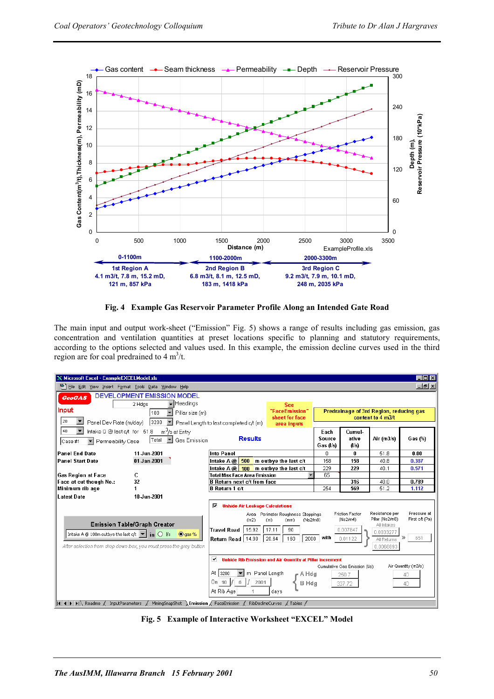

**Fig. 4 Example Gas Reservoir Parameter Profile Along an Intended Gate Road** 

The main input and output work-sheet ("Emission" Fig. 5) shows a range of results including gas emission, gas concentration and ventilation quantities at preset locations specific to planning and statutory requirements, according to the options selected and values used. In this example, the emission decline curves used in the third region are for coal predrained to  $4 \text{ m}^3$ /t.



**Fig. 5 Example of Interactive Worksheet "EXCEL" Model**